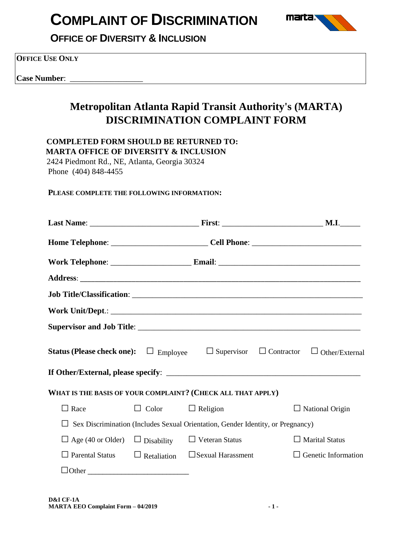

**OFFICE OF DIVERSITY & INCLUSION**

**OFFICE USE ONLY**

**Case Number:** 

## **Metropolitan Atlanta Rapid Transit Authority's (MARTA) DISCRIMINATION COMPLAINT FORM**

 **COMPLETED FORM SHOULD BE RETURNED TO: MARTA OFFICE OF DIVERSITY & INCLUSION**

 2424 Piedmont Rd., NE, Atlanta, Georgia 30324 Phone (404) 848-4455

#### **PLEASE COMPLETE THE FOLLOWING INFORMATION:**

|                                                             |                              |                                                                                        | Home Telephone: ____________________________Cell Phone: _________________________                           |
|-------------------------------------------------------------|------------------------------|----------------------------------------------------------------------------------------|-------------------------------------------------------------------------------------------------------------|
|                                                             |                              |                                                                                        |                                                                                                             |
|                                                             |                              |                                                                                        |                                                                                                             |
|                                                             |                              |                                                                                        |                                                                                                             |
|                                                             |                              |                                                                                        |                                                                                                             |
|                                                             |                              |                                                                                        |                                                                                                             |
|                                                             |                              |                                                                                        | <b>Status (Please check one):</b> $\Box$ Employee $\Box$ Supervisor $\Box$ Contractor $\Box$ Other/External |
|                                                             |                              |                                                                                        |                                                                                                             |
| WHAT IS THE BASIS OF YOUR COMPLAINT? (CHECK ALL THAT APPLY) |                              |                                                                                        |                                                                                                             |
| $\Box$ Race                                                 | $\Box$ Color $\Box$ Religion |                                                                                        | $\Box$ National Origin                                                                                      |
|                                                             |                              | $\Box$ Sex Discrimination (Includes Sexual Orientation, Gender Identity, or Pregnancy) |                                                                                                             |
| $\Box$ Age (40 or Older)                                    | $\Box$ Disability            | $\Box$ Veteran Status                                                                  | $\Box$ Marital Status                                                                                       |
| $\Box$ Parental Status                                      | $\Box$ Retaliation           | $\Box$ Sexual Harassment                                                               | $\Box$ Genetic Information                                                                                  |
| $\Box$ Other                                                |                              |                                                                                        |                                                                                                             |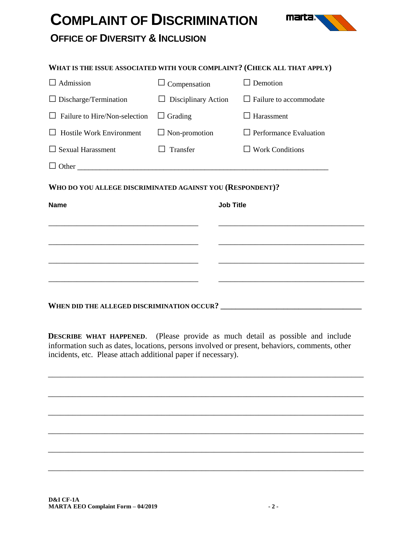

### **OFFICE OF DIVERSITY & INCLUSION**

| WHAT IS THE ISSUE ASSOCIATED WITH YOUR COMPLAINT? (CHECK ALL THAT APPLY)                                                                                                                                                      |                               |                               |  |  |  |
|-------------------------------------------------------------------------------------------------------------------------------------------------------------------------------------------------------------------------------|-------------------------------|-------------------------------|--|--|--|
| $\Box$ Admission                                                                                                                                                                                                              | $\Box$ Compensation           | $\Box$ Demotion               |  |  |  |
| $\Box$ Discharge/Termination                                                                                                                                                                                                  | Disciplinary Action<br>$\Box$ | $\Box$ Failure to accommodate |  |  |  |
| Failure to Hire/Non-selection                                                                                                                                                                                                 | $\Box$ Grading                | $\Box$ Harassment             |  |  |  |
| <b>Hostile Work Environment</b>                                                                                                                                                                                               | $\Box$ Non-promotion          | $\Box$ Performance Evaluation |  |  |  |
| $\Box$ Sexual Harassment                                                                                                                                                                                                      | Transfer                      | $\Box$ Work Conditions        |  |  |  |
|                                                                                                                                                                                                                               |                               |                               |  |  |  |
| WHO DO YOU ALLEGE DISCRIMINATED AGAINST YOU (RESPONDENT)?                                                                                                                                                                     |                               |                               |  |  |  |
| <b>Name</b>                                                                                                                                                                                                                   |                               | <b>Job Title</b>              |  |  |  |
|                                                                                                                                                                                                                               |                               |                               |  |  |  |
| <u> 1980 - Johann Barbara, martin da basar da basar da basar da basar da basar da basar da basar da basar da basa</u>                                                                                                         |                               |                               |  |  |  |
|                                                                                                                                                                                                                               |                               |                               |  |  |  |
| the control of the control of the control of the control of the control of the control of the control of the control of the control of the control of the control of the control of the control of the control of the control |                               |                               |  |  |  |
|                                                                                                                                                                                                                               |                               |                               |  |  |  |
| WHEN DID THE ALLEGED DISCRIMINATION OCCUR?                                                                                                                                                                                    |                               |                               |  |  |  |

**DESCRIBE WHAT HAPPENED.** (Please provide as much detail as possible and include information such as dates, locations, persons involved or present, behaviors, comments, other incidents, etc. Please attach additional paper if necessary).

\_\_\_\_\_\_\_\_\_\_\_\_\_\_\_\_\_\_\_\_\_\_\_\_\_\_\_\_\_\_\_\_\_\_\_\_\_\_\_\_\_\_\_\_\_\_\_\_\_\_\_\_\_\_\_\_\_\_\_\_\_\_\_\_\_\_\_\_\_\_\_\_\_\_\_\_\_\_

\_\_\_\_\_\_\_\_\_\_\_\_\_\_\_\_\_\_\_\_\_\_\_\_\_\_\_\_\_\_\_\_\_\_\_\_\_\_\_\_\_\_\_\_\_\_\_\_\_\_\_\_\_\_\_\_\_\_\_\_\_\_\_\_\_\_\_\_\_\_\_\_\_\_\_\_\_\_

\_\_\_\_\_\_\_\_\_\_\_\_\_\_\_\_\_\_\_\_\_\_\_\_\_\_\_\_\_\_\_\_\_\_\_\_\_\_\_\_\_\_\_\_\_\_\_\_\_\_\_\_\_\_\_\_\_\_\_\_\_\_\_\_\_\_\_\_\_\_\_\_\_\_\_\_\_\_

\_\_\_\_\_\_\_\_\_\_\_\_\_\_\_\_\_\_\_\_\_\_\_\_\_\_\_\_\_\_\_\_\_\_\_\_\_\_\_\_\_\_\_\_\_\_\_\_\_\_\_\_\_\_\_\_\_\_\_\_\_\_\_\_\_\_\_\_\_\_\_\_\_\_\_\_\_\_

\_\_\_\_\_\_\_\_\_\_\_\_\_\_\_\_\_\_\_\_\_\_\_\_\_\_\_\_\_\_\_\_\_\_\_\_\_\_\_\_\_\_\_\_\_\_\_\_\_\_\_\_\_\_\_\_\_\_\_\_\_\_\_\_\_\_\_\_\_\_\_\_\_\_\_\_\_\_

\_\_\_\_\_\_\_\_\_\_\_\_\_\_\_\_\_\_\_\_\_\_\_\_\_\_\_\_\_\_\_\_\_\_\_\_\_\_\_\_\_\_\_\_\_\_\_\_\_\_\_\_\_\_\_\_\_\_\_\_\_\_\_\_\_\_\_\_\_\_\_\_\_\_\_\_\_\_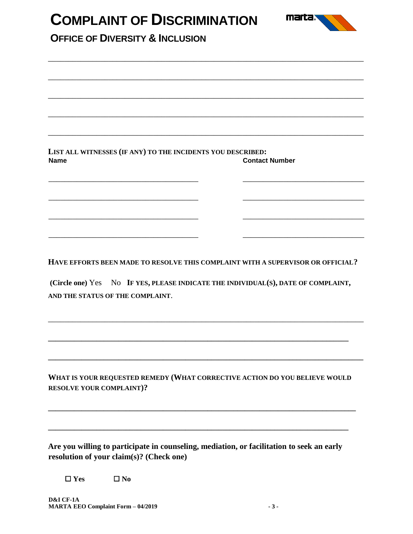| LIST ALL WITNESSES (IF ANY) TO THE INCIDENTS YOU DESCRIBED:<br><b>Contact Number</b> |
|--------------------------------------------------------------------------------------|
|                                                                                      |
| HAVE EFFORTS BEEN MADE TO RESOLVE THIS COMPLAINT WITH A SUPERVISOR OR OFFICIAL?      |
| (Circle one) Yes No IF YES, PLEASE INDICATE THE INDIVIDUAL(S), DATE OF COMPLAINT,    |
|                                                                                      |
|                                                                                      |

**WHAT IS YOUR REQUESTED REMEDY (WHAT CORRECTIVE ACTION DO YOU BELIEVE WOULD RESOLVE YOUR COMPLAINT)?** 

**\_\_\_\_\_\_\_\_\_\_\_\_\_\_\_\_\_\_\_\_\_\_\_\_\_\_\_\_\_\_\_\_\_\_\_\_\_\_\_\_\_\_\_\_\_\_\_\_\_\_\_\_\_\_\_\_\_\_\_\_\_\_\_\_\_\_\_\_\_\_\_\_\_\_\_\_\_\_\_\_\_\_\_** 

**\_\_\_\_\_\_\_\_\_\_\_\_\_\_\_\_\_\_\_\_\_\_\_\_\_\_\_\_\_\_\_\_\_\_\_\_\_\_\_\_\_\_\_\_\_\_\_\_\_\_\_\_\_\_\_\_\_\_\_\_\_\_\_\_\_\_\_\_\_\_\_\_\_\_\_\_\_\_\_\_\_** 

**Are you willing to participate in counseling, mediation, or facilitation to seek an early resolution of your claim(s)? (Check one)**

☐ **Yes** ☐ **No**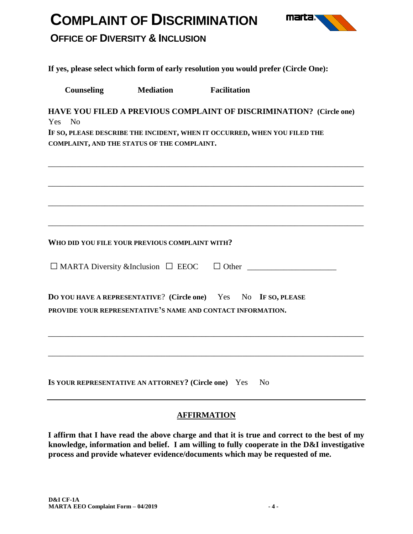

### **OFFICE OF DIVERSITY & INCLUSION**

**If yes, please select which form of early resolution you would prefer (Circle One):**

**Counseling Mediation Facilitation**

**HAVE YOU FILED A PREVIOUS COMPLAINT OF DISCRIMINATION? (Circle one)** Yes No

\_\_\_\_\_\_\_\_\_\_\_\_\_\_\_\_\_\_\_\_\_\_\_\_\_\_\_\_\_\_\_\_\_\_\_\_\_\_\_\_\_\_\_\_\_\_\_\_\_\_\_\_\_\_\_\_\_\_\_\_\_\_\_\_\_\_\_\_\_\_\_\_\_\_\_\_\_\_

\_\_\_\_\_\_\_\_\_\_\_\_\_\_\_\_\_\_\_\_\_\_\_\_\_\_\_\_\_\_\_\_\_\_\_\_\_\_\_\_\_\_\_\_\_\_\_\_\_\_\_\_\_\_\_\_\_\_\_\_\_\_\_\_\_\_\_\_\_\_\_\_\_\_\_\_\_\_

\_\_\_\_\_\_\_\_\_\_\_\_\_\_\_\_\_\_\_\_\_\_\_\_\_\_\_\_\_\_\_\_\_\_\_\_\_\_\_\_\_\_\_\_\_\_\_\_\_\_\_\_\_\_\_\_\_\_\_\_\_\_\_\_\_\_\_\_\_\_\_\_\_\_\_\_\_\_

\_\_\_\_\_\_\_\_\_\_\_\_\_\_\_\_\_\_\_\_\_\_\_\_\_\_\_\_\_\_\_\_\_\_\_\_\_\_\_\_\_\_\_\_\_\_\_\_\_\_\_\_\_\_\_\_\_\_\_\_\_\_\_\_\_\_\_\_\_\_\_\_\_\_\_\_\_\_

**IF SO, PLEASE DESCRIBE THE INCIDENT, WHEN IT OCCURRED, WHEN YOU FILED THE COMPLAINT, AND THE STATUS OF THE COMPLAINT.**

**WHO DID YOU FILE YOUR PREVIOUS COMPLAINT WITH?**

| $\Box$ MARTA Diversity & Inclusion $\Box$ EEOC |  |
|------------------------------------------------|--|
|------------------------------------------------|--|

| <b>DO YOU HAVE A REPRESENTATIVE?</b> (Circle one) Yes No IF SO, PLEASE |  |  |  |  |  |  |  |  |
|------------------------------------------------------------------------|--|--|--|--|--|--|--|--|
| PROVIDE YOUR REPRESENTATIVE'S NAME AND CONTACT INFORMATION.            |  |  |  |  |  |  |  |  |

**IS YOUR REPRESENTATIVE AN ATTORNEY? (Circle one)** Yes No

#### **AFFIRMATION**

\_\_\_\_\_\_\_\_\_\_\_\_\_\_\_\_\_\_\_\_\_\_\_\_\_\_\_\_\_\_\_\_\_\_\_\_\_\_\_\_\_\_\_\_\_\_\_\_\_\_\_\_\_\_\_\_\_\_\_\_\_\_\_\_\_\_\_\_\_\_\_\_\_\_\_\_\_\_

\_\_\_\_\_\_\_\_\_\_\_\_\_\_\_\_\_\_\_\_\_\_\_\_\_\_\_\_\_\_\_\_\_\_\_\_\_\_\_\_\_\_\_\_\_\_\_\_\_\_\_\_\_\_\_\_\_\_\_\_\_\_\_\_\_\_\_\_\_\_\_\_\_\_\_\_\_\_

**I affirm that I have read the above charge and that it is true and correct to the best of my knowledge, information and belief. I am willing to fully cooperate in the D&I investigative process and provide whatever evidence/documents which may be requested of me.**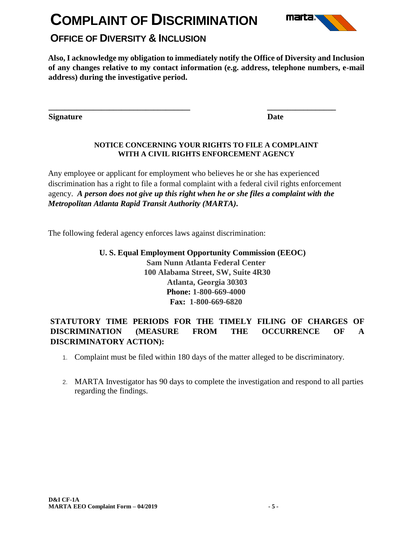

## **OFFICE OF DIVERSITY & INCLUSION**

**Also, I acknowledge my obligation to immediately notify the Office of Diversity and Inclusion of any changes relative to my contact information (e.g. address, telephone numbers, e-mail address) during the investigative period.** 

**Signature** Date **Date** 

#### **NOTICE CONCERNING YOUR RIGHTS TO FILE A COMPLAINT WITH A CIVIL RIGHTS ENFORCEMENT AGENCY**

Any employee or applicant for employment who believes he or she has experienced discrimination has a right to file a formal complaint with a federal civil rights enforcement agency. *A person does not give up this right when he or she files a complaint with the Metropolitan Atlanta Rapid Transit Authority (MARTA).*

**\_\_\_\_\_\_\_\_\_\_\_\_\_\_\_\_\_\_\_\_\_\_\_\_\_\_\_\_\_\_\_\_\_\_\_ \_\_\_\_\_\_\_\_\_\_\_\_\_\_\_\_\_** 

The following federal agency enforces laws against discrimination:

**U. S. Equal Employment Opportunity Commission (EEOC)**

**Sam Nunn Atlanta Federal Center 100 Alabama Street, SW, Suite 4R30 Atlanta, Georgia 30303 Phone: 1-800-669-4000 Fax: 1-800-669-6820**

#### **STATUTORY TIME PERIODS FOR THE TIMELY FILING OF CHARGES OF DISCRIMINATION (MEASURE FROM THE OCCURRENCE OF A DISCRIMINATORY ACTION):**

- 1. Complaint must be filed within 180 days of the matter alleged to be discriminatory.
- 2. MARTA Investigator has 90 days to complete the investigation and respond to all parties regarding the findings.